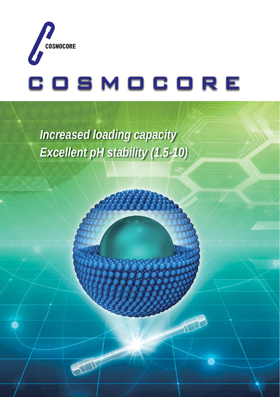

*Increased loading capacity Excellent pH stability (1.5-10)*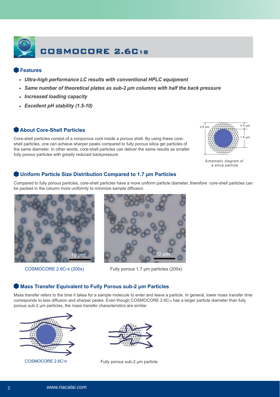

# **Features**

- **Ultra-high performance LC results with conventional HPLC equipment**
- Same number of theoretical plates as sub-2  $\mu$ m columns with half the back pressure
- **Increased loading capacity**
- Excellent pH stability (1.5-10)

# **About Core-Shell Particles**

Core-shell particles consist of a nonporous core inside a porous shell. By using these coreshell particles, one can achieve sharper peaks compared to fully porous silica gel particles of the same diameter. In other words, core-shell particles can deliver the same results as smaller fully porous particles with greatly reduced backpressure.



Schematic diagram of a silica particle

# **Uniform Particle Size Distribution Compared to 1.7 μm Particles**

Compared to fully porous particles, core-shell particles have a more uniform particle diameter, therefore core-shell particles can be packed in the column more uniformly to minimize sample diffusion.





COSMOCORE 2.6C18 (200x) Fully porous 1.7 μm particles (200x)

## **Mass Transfer Equivalent to Fully Porous sub-2 um Particles**

Mass transfer refers to the time it takes for a sample molecule to enter and leave a particle. In general, lower mass transfer time corresponds to less diffusion and sharper peaks. Even though COSMOCORE 2.6C18 has a larger particle diameter than fully porous sub-2 μm particles, the mass transfer characteristics are similar.





COSMOCORE 2.6C18 Fully porous sub-2 μm particle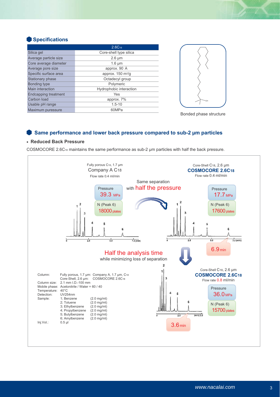# **Specifications**

|                       | $2.6C_{18}$                        |
|-----------------------|------------------------------------|
| Silica gel            | Core-shell type silica             |
| Average particle size | $2.6 \mu m$                        |
| Core average diameter | $1.6 \mu m$                        |
| Average pore size     | approx. 90 Å                       |
| Specific surface area | approx. $150 \text{ m}^2/\text{g}$ |
| Stationary phase      | Octadecyl group                    |
| <b>Bonding type</b>   | Polymeric                          |
| Main interaction      | Hydrophobic interaction            |
| Endcapping treatment  | Yes                                |
| Carbon load           | approx. 7%                         |
| Usable pH range       | $1.5 - 10$                         |
| Maximum puressure     | 60MPa                              |



Bonded phase structure

## **Same performance and lower back pressure compared to sub-2 μm particles**

## **Reduced Back Pressure**

COSMOCORE 2.6C18 maintains the same performance as sub-2 μm particles with half the back pressure.

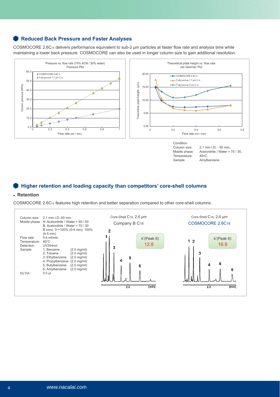# **Reduced Back Pressure and Faster Analyses**

COSMOCORE 2.6C<sub>18</sub> delivers performance equivalent to sub-2 µm particles at faster flow rate and analysis time while maintaining a lower back pressure. COSMOCORE can also be used in longer column size to gain additional resolution.



Condition<br>Column size: Temperature: 40°C,<br>Sample: Amylb

Column size: 2.1 mm I.D. - 50 mm,<br>Mobile phase: Acetonitrile / Water = Acetonitrile / Water =  $70$  / 30, Amylbenzene

## **Higher retention and loading capacity than competitors' core-shell columns**

## **Retention**

COSMOCORE 2.6C18 features high retention and better separation compared to other core-shell columns.

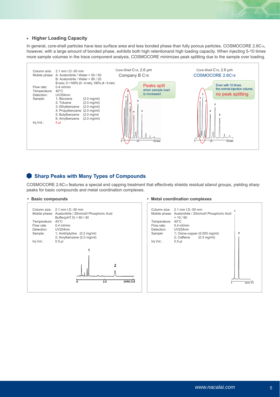#### **Higher Loading Capacity**

In general, core-shell particles have less surface area and less bonded phase than fully porous particles. COSMOCORE 2.6C18, however, with a large amount of bonded phase, exhibits both high retentionand high loading capacity. When injecting 5-10 times more sample volumes in the trace component analysis, COSMOCORE minimizes peak splitting due to the sample over loading.



## **Sharp Peaks with Many Types of Compounds**

COSMOCORE 2.6C18 features a special end capping treatment that effectively shields residual silanol groups, yielding sharp peaks for basic compounds and metal coordination complexes.



#### **Basic compounds Metal coordination complexes Metal coordination complexes**

|                                          | Column size: 2.1 mm I.D.-50 mm<br>Mobile phase: Acetonitrile / 20mmol/l Phosphoric Acid<br>$= 10/90$ |                |
|------------------------------------------|------------------------------------------------------------------------------------------------------|----------------|
| Temperature:<br>Flow rate:<br>Detection: | $40^{\circ}$ C<br>$0.4$ ml/min<br><b>UV254nm</b>                                                     | $\overline{2}$ |
| Sample:<br>Inj.Vol.:                     | 1; Oxine-copper (0.003 mg/ml)<br>2; Caffeine $(0.3 \text{ mg/ml})$<br>$0.5$ $\mu$                    |                |
|                                          |                                                                                                      |                |
|                                          |                                                                                                      |                |
|                                          |                                                                                                      | (min)          |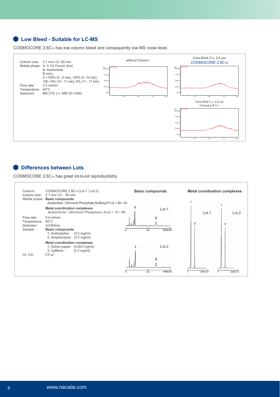# **Low Bleed - Suitable for LC-MS**

COSMOCORE 2.6C18 has low column bleed and consequently low MS noise level.



## **Differences between Lots**

COSMOCORE 2.6C18 has great lot-to-lot reproducibility.

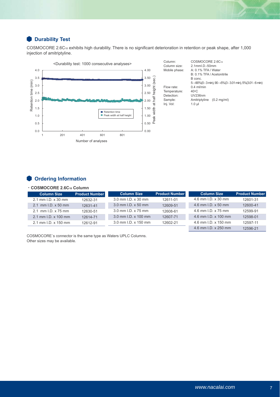# *<u>Durability Test</u>*

COSMOCORE 2.6C18 exhibits high durability. There is no significant deterioration in retention or peak shape, after 1,000 injection of amitriptyline.



# **Condering Information**

#### ・**COSMOCORE 2.6C18 Column**

| <b>Column Size</b>           | <b>Product Number</b> | <b>Column Size</b>   | <b>Product Number</b> | <b>Column Size</b>   | <b>Product Number</b> |
|------------------------------|-----------------------|----------------------|-----------------------|----------------------|-----------------------|
| $2.1$ mm $1. D. x 30$ mm     | 12632-31              | 3.0 mm I.D. x 30 mm  | 12611-01              | 4.6 mm I.D. x 30 mm  | 12601-31              |
| $2.1$ mm I.D. $\times$ 50 mm | 12631-41              | 3.0 mm I.D. x 50 mm  | 12609-51              | 4.6 mm I.D. x 50 mm  | 12600-41              |
| 2.1 mm I.D. x 75 mm          | 12630-51              | 3.0 mm I.D. x 75 mm  | 12608-61              | 4.6 mm I.D. x 75 mm  | 12599-91              |
| $2.1$ mm $1. D. x 100$ mm    | 12614-71              | 3.0 mm I.D. x 100 mm | 12607-71              | 4.6 mm I.D. x 100 mm | 12598-01              |
| 2.1 mm I.D. x 150 mm         | 12612-91              | 3.0 mm I.D. x 150 mm | 12602-21              | 4.6 mm I.D. x 150 mm | 12597-11              |
|                              |                       |                      |                       | 4.6 mm I.D. x 250 mm | 12596-21              |

COSMOCORE`s connector is the same type as Waters UPLC Columns. Other sizes may be available.